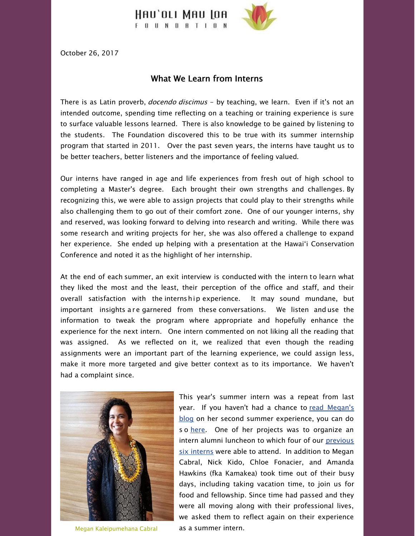

October 26, 2017

## What We Learn from Interns

There is as Latin proverb, *docendo discimus* - by teaching, we learn. Even if it's not an intended outcome, spending time reflecting on a teaching or training experience is sure to surface valuable lessons learned. There is also knowledge to be gained by listening to the students. The Foundation discovered this to be true with its summer internship program that started in 2011. Over the past seven years, the interns have taught us to be better teachers, better listeners and the importance of feeling valued.

Our interns have ranged in age and life experiences from fresh out of high school to completing a Master's degree. Each brought their own strengths and challenges. By recognizing this, we were able to assign projects that could play to their strengths while also challenging them to go out of their comfort zone. One of our younger interns, shy and reserved, was looking forward to delving into research and writing. While there was some research and writing projects for her, she was also offered a challenge to expand her experience. She ended up helping with a presentation at the Hawaiʻi Conservation Conference and noted it as the highlight of her internship.

At the end of each summer, an exit interview is conducted with the intern to learn what they liked the most and the least, their perception of the office and staff, and their overall satisfaction with the internship experience. It may sound mundane, but important insights are garnered from these conversations. We listen and use the information to tweak the program where appropriate and hopefully enhance the experience for the next intern. One intern commented on not liking all the reading that was assigned. As we reflected on it, we realized that even though the reading assignments were an important part of the learning experience, we could assign less, make it more more targeted and give better context as to its importance. We haven't had a complaint since.



Megan Kaleipumehana Cabral

This year's summer intern was a repeat from last year. If you haven't had a chance to read Megan's blog on her second summer [experience,](http://hauolimauloa.org/blog-a-modern-hawaiian-learning-how-to-navigate-by-megan-kaleipumehana-cabral-summer-intern-2016-2017/?utm_source=13.+2017-+What+We+Learn+From+Interns+%28re%3A+Summer+Internships%29&utm_campaign=2017-+What+We+Learn+From+Interns+%28re%3A+Summer+Internships%29&utm_medium=email) you can do s o [here](http://hauolimauloa.org/blog-a-modern-hawaiian-learning-how-to-navigate-by-megan-kaleipumehana-cabral-summer-intern-2016-2017/?utm_source=13.+2017-+What+We+Learn+From+Interns+%28re%3A+Summer+Internships%29&utm_campaign=2017-+What+We+Learn+From+Interns+%28re%3A+Summer+Internships%29&utm_medium=email). One of her projects was to organize an intern alumni [luncheon](http://hauolimauloa.org/gallery/the-foundation/hauoli-mau-loa-foundations-summer-interns/?utm_source=13.+2017-+What+We+Learn+From+Interns+%28re%3A+Summer+Internships%29&utm_campaign=2017-+What+We+Learn+From+Interns+%28re%3A+Summer+Internships%29&utm_medium=email) to which four of our previous six interns were able to attend. In addition to Megan Cabral, Nick Kido, Chloe Fonacier, and Amanda Hawkins (fka Kamakea) took time out of their busy days, including taking vacation time, to join us for food and fellowship. Since time had passed and they were all moving along with their professional lives, we asked them to reflect again on their experience as a summer intern.